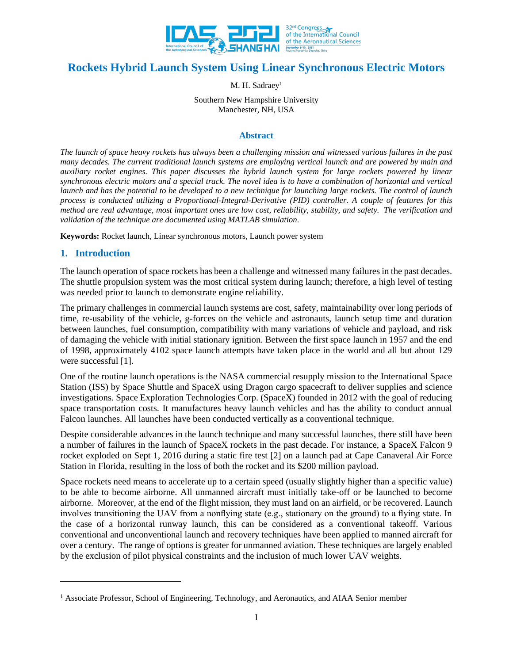

# **Rockets Hybrid Launch System Using Linear Synchronous Electric Motors**

M. H. Sadraey<sup>1</sup>

Southern New Hampshire University Manchester, NH, USA

### **Abstract**

*The launch of space heavy rockets has always been a challenging mission and witnessed various failures in the past many decades. The current traditional launch systems are employing vertical launch and are powered by main and auxiliary rocket engines. This paper discusses the hybrid launch system for large rockets powered by linear synchronous electric motors and a special track. The novel idea is to have a combination of horizontal and vertical launch and has the potential to be developed to a new technique for launching large rockets. The control of launch process is conducted utilizing a Proportional-Integral-Derivative (PID) controller. A couple of features for this method are real advantage, most important ones are low cost, reliability, stability, and safety. The verification and validation of the technique are documented using MATLAB simulation.*

**Keywords:** Rocket launch, Linear synchronous motors, Launch power system

# **1. Introduction**

The launch operation of space rockets has been a challenge and witnessed many failures in the past decades. The shuttle propulsion system was the most critical system during launch; therefore, a high level of testing was needed prior to launch to demonstrate engine reliability.

The primary challenges in commercial launch systems are cost, safety, maintainability over long periods of time, re-usability of the vehicle, g-forces on the vehicle and astronauts, launch setup time and duration between launches, fuel consumption, compatibility with many variations of vehicle and payload, and risk of damaging the vehicle with initial stationary ignition. Between the first space launch in 1957 and the end of 1998, approximately 4102 space launch attempts have taken place in the world and all but about 129 were successful [1].

One of the routine launch operations is the NASA commercial resupply mission to the International Space Station (ISS) by Space Shuttle and SpaceX using Dragon cargo spacecraft to deliver supplies and science investigations. Space Exploration Technologies Corp. (SpaceX) founded in 2012 with the goal of reducing space transportation costs. It manufactures heavy launch vehicles and has the ability to conduct annual Falcon launches. All launches have been conducted vertically as a conventional technique.

Despite considerable advances in the launch technique and many successful launches, there still have been a number of failures in the launch of SpaceX rockets in the past decade. For instance, a SpaceX Falcon 9 rocket exploded on Sept 1, 2016 during a static fire test [2] on a launch pad at Cape Canaveral Air Force Station in Florida, resulting in the loss of both the rocket and its \$200 million payload.

Space rockets need means to accelerate up to a certain speed (usually slightly higher than a specific value) to be able to become airborne. All unmanned aircraft must initially take-off or be launched to become airborne. Moreover, at the end of the flight mission, they must land on an airfield, or be recovered. Launch involves transitioning the UAV from a nonflying state (e.g., stationary on the ground) to a flying state. In the case of a horizontal runway launch, this can be considered as a conventional takeoff. Various conventional and unconventional launch and recovery techniques have been applied to manned aircraft for over a century. The range of options is greater for unmanned aviation. These techniques are largely enabled by the exclusion of pilot physical constraints and the inclusion of much lower UAV weights.

<sup>&</sup>lt;sup>1</sup> Associate Professor, School of Engineering, Technology, and Aeronautics, and AIAA Senior member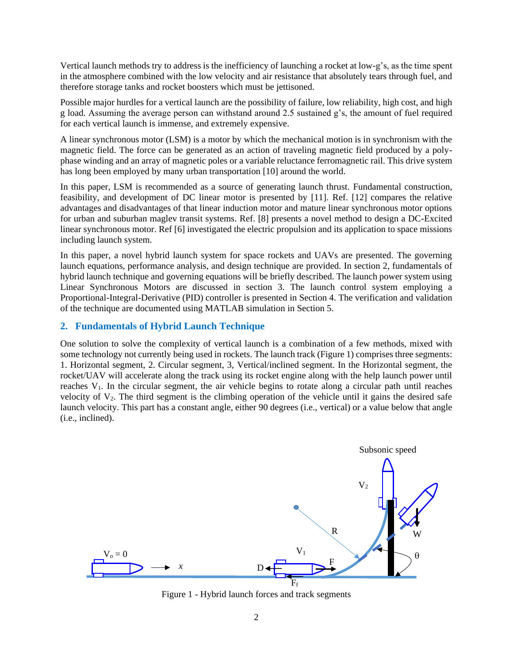Vertical launch methods try to address is the inefficiency of launching a rocket at low-g's, as the time spent in the atmosphere combined with the low velocity and air resistance that absolutely tears through fuel, and therefore storage tanks and rocket boosters which must be jettisoned.

Possible major hurdles for a vertical launch are the possibility of failure, low reliability, high cost, and high g load. Assuming the average person can withstand around 2.5 sustained g's, the amount of fuel required for each vertical launch is immense, and extremely expensive.

A linear synchronous motor (LSM) is a motor by which the mechanical motion is in synchronism with the magnetic field. The force can be generated as an action of traveling magnetic field produced by a polyphase winding and an array of magnetic poles or a variable reluctance ferromagnetic rail. This drive system has long been employed by many urban transportation [10] around the world.

In this paper, LSM is recommended as a source of generating launch thrust. Fundamental construction, feasibility, and development of DC linear motor is presented by [11]. Ref. [12] compares the relative advantages and disadvantages of that linear induction motor and mature linear synchronous motor options for urban and suburban maglev transit systems. Ref. [8] presents a novel method to design a DC-Excited linear synchronous motor. Ref [6] investigated the electric propulsion and its application to space missions including launch system.

In this paper, a novel hybrid launch system for space rockets and UAVs are presented. The governing launch equations, performance analysis, and design technique are provided. In section 2, fundamentals of hybrid launch technique and governing equations will be briefly described. The launch power system using Linear Synchronous Motors are discussed in section 3. The launch control system employing a Proportional-Integral-Derivative (PID) controller is presented in Section 4. The verification and validation of the technique are documented using MATLAB simulation in Section 5.

# **2. Fundamentals of Hybrid Launch Technique**

One solution to solve the complexity of vertical launch is a combination of a few methods, mixed with some technology not currently being used in rockets. The launch track (Figure 1) comprises three segments: 1. Horizontal segment, 2. Circular segment, 3, Vertical/inclined segment. In the Horizontal segment, the rocket/UAV will accelerate along the track using its rocket engine along with the help launch power until reaches V1. In the circular segment, the air vehicle begins to rotate along a circular path until reaches velocity of  $V_2$ . The third segment is the climbing operation of the vehicle until it gains the desired safe launch velocity. This part has a constant angle, either 90 degrees (i.e., vertical) or a value below that angle (i.e., inclined).



Figure 1 - Hybrid launch forces and track segments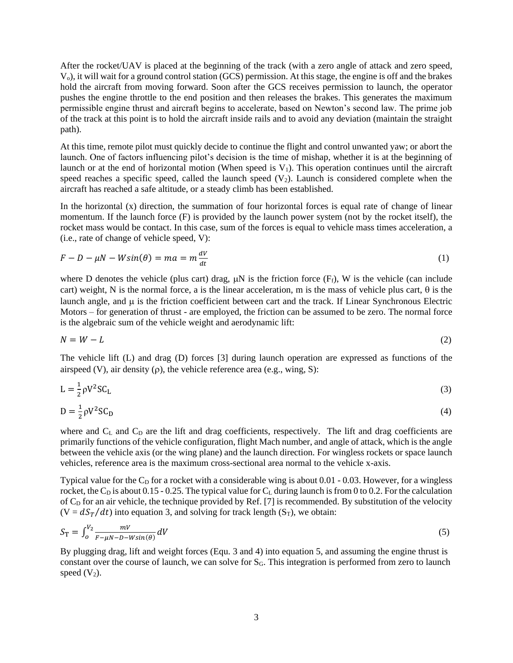After the rocket/UAV is placed at the beginning of the track (with a zero angle of attack and zero speed, Vo), it will wait for a ground control station (GCS) permission. At this stage, the engine is off and the brakes hold the aircraft from moving forward. Soon after the GCS receives permission to launch, the operator pushes the engine throttle to the end position and then releases the brakes. This generates the maximum permissible engine thrust and aircraft begins to accelerate, based on Newton's second law. The prime job of the track at this point is to hold the aircraft inside rails and to avoid any deviation (maintain the straight path).

At this time, remote pilot must quickly decide to continue the flight and control unwanted yaw; or abort the launch. One of factors influencing pilot's decision is the time of mishap, whether it is at the beginning of launch or at the end of horizontal motion (When speed is  $V_1$ ). This operation continues until the aircraft speed reaches a specific speed, called the launch speed  $(V_2)$ . Launch is considered complete when the aircraft has reached a safe altitude, or a steady climb has been established.

In the horizontal  $(x)$  direction, the summation of four horizontal forces is equal rate of change of linear momentum. If the launch force (F) is provided by the launch power system (not by the rocket itself), the rocket mass would be contact. In this case, sum of the forces is equal to vehicle mass times acceleration, a (i.e., rate of change of vehicle speed, V):

$$
F - D - \mu N - W\sin(\theta) = ma = m\frac{dV}{dt}
$$
\n<sup>(1)</sup>

where D denotes the vehicle (plus cart) drag,  $\mu$ N is the friction force (F<sub>f</sub>), W is the vehicle (can include cart) weight, N is the normal force, a is the linear acceleration, m is the mass of vehicle plus cart,  $\theta$  is the launch angle, and  $\mu$  is the friction coefficient between cart and the track. If Linear Synchronous Electric Motors – for generation of thrust - are employed, the friction can be assumed to be zero. The normal force is the algebraic sum of the vehicle weight and aerodynamic lift:

$$
N = W - L \tag{2}
$$

The vehicle lift (L) and drag (D) forces [3] during launch operation are expressed as functions of the airspeed (V), air density  $(\rho)$ , the vehicle reference area (e.g., wing, S):

$$
L = \frac{1}{2} \rho V^2 S C_L \tag{3}
$$

$$
D = \frac{1}{2}\rho V^2 SC_D \tag{4}
$$

where and  $C_L$  and  $C_D$  are the lift and drag coefficients, respectively. The lift and drag coefficients are primarily functions of the vehicle configuration, flight Mach number, and angle of attack, which is the angle between the vehicle axis (or the wing plane) and the launch direction. For wingless rockets or space launch vehicles, reference area is the maximum cross-sectional area normal to the vehicle x-axis.

Typical value for the  $C<sub>D</sub>$  for a rocket with a considerable wing is about 0.01 - 0.03. However, for a wingless rocket, the C<sub>D</sub> is about 0.15 - 0.25. The typical value for C<sub>L</sub> during launch is from 0 to 0.2. For the calculation of  $C_D$  for an air vehicle, the technique provided by Ref. [7] is recommended. By substitution of the velocity  $(V = dS_T/dt)$  into equation 3, and solving for track length  $(S_T)$ , we obtain:

$$
S_{\rm T} = \int_0^{V_2} \frac{mV}{F - \mu N - D - W \sin(\theta)} dV \tag{5}
$$

By plugging drag, lift and weight forces (Equ. 3 and 4) into equation 5, and assuming the engine thrust is constant over the course of launch, we can solve for  $S_G$ . This integration is performed from zero to launch speed  $(V_2)$ .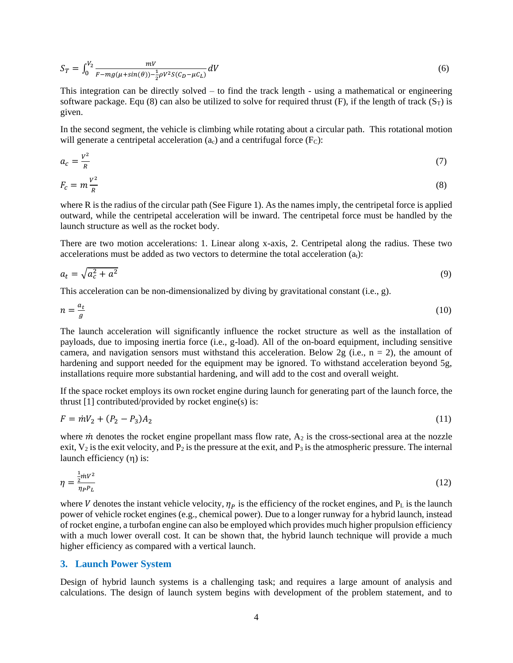$$
S_T = \int_0^{V_2} \frac{mV}{F - mg(\mu + \sin(\theta)) - \frac{1}{2}\rho V^2 S(C_D - \mu C_L)} dV
$$
 (6)

This integration can be directly solved – to find the track length - using a mathematical or engineering software package. Equ (8) can also be utilized to solve for required thrust (F), if the length of track  $(S_T)$  is given.

In the second segment, the vehicle is climbing while rotating about a circular path. This rotational motion will generate a centripetal acceleration  $(a_c)$  and a centrifugal force  $(F_C)$ :

$$
a_c = \frac{V^2}{R} \tag{7}
$$

$$
F_c = m \frac{v^2}{R} \tag{8}
$$

where R is the radius of the circular path (See Figure 1). As the names imply, the centripetal force is applied outward, while the centripetal acceleration will be inward. The centripetal force must be handled by the launch structure as well as the rocket body.

There are two motion accelerations: 1. Linear along x-axis, 2. Centripetal along the radius. These two accelerations must be added as two vectors to determine the total acceleration  $(a_t)$ :

$$
a_t = \sqrt{a_c^2 + a^2} \tag{9}
$$

This acceleration can be non-dimensionalized by diving by gravitational constant (i.e., g).

$$
n = \frac{a_t}{g} \tag{10}
$$

The launch acceleration will significantly influence the rocket structure as well as the installation of payloads, due to imposing inertia force (i.e., g-load). All of the on-board equipment, including sensitive camera, and navigation sensors must withstand this acceleration. Below 2g (i.e.,  $n = 2$ ), the amount of hardening and support needed for the equipment may be ignored. To withstand acceleration beyond 5g, installations require more substantial hardening, and will add to the cost and overall weight.

If the space rocket employs its own rocket engine during launch for generating part of the launch force, the thrust  $[1]$  contributed/provided by rocket engine(s) is:

$$
F = \dot{m}V_2 + (P_2 - P_3)A_2 \tag{11}
$$

where  $\dot{m}$  denotes the rocket engine propellant mass flow rate,  $A_2$  is the cross-sectional area at the nozzle exit,  $V_2$  is the exit velocity, and  $P_2$  is the pressure at the exit, and  $P_3$  is the atmospheric pressure. The internal launch efficiency  $(\eta)$  is:

$$
\eta = \frac{\frac{1}{2}mv^2}{\eta_P P_L} \tag{12}
$$

where V denotes the instant vehicle velocity,  $\eta_p$  is the efficiency of the rocket engines, and P<sub>L</sub> is the launch power of vehicle rocket engines (e.g., chemical power). Due to a longer runway for a hybrid launch, instead of rocket engine, a turbofan engine can also be employed which provides much higher propulsion efficiency with a much lower overall cost. It can be shown that, the hybrid launch technique will provide a much higher efficiency as compared with a vertical launch.

#### **3. Launch Power System**

Design of hybrid launch systems is a challenging task; and requires a large amount of analysis and calculations. The design of launch system begins with development of the problem statement, and to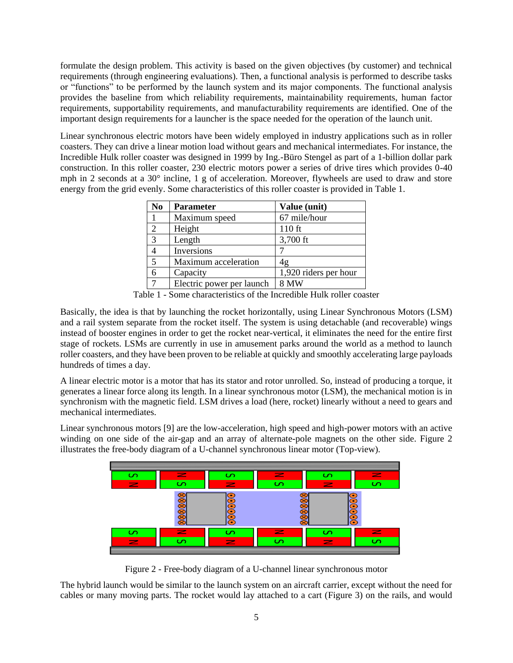formulate the design problem. This activity is based on the given objectives (by customer) and technical requirements (through engineering evaluations). Then, a functional analysis is performed to describe tasks or "functions" to be performed by the launch system and its major components. The functional analysis provides the baseline from which reliability requirements, maintainability requirements, human factor requirements, supportability requirements, and manufacturability requirements are identified. One of the important design requirements for a launcher is the space needed for the operation of the launch unit.

Linear synchronous electric motors have been widely employed in industry applications such as in roller coasters. They can drive a linear motion load without gears and mechanical intermediates. For instance, the Incredible Hulk roller coaster was designed in 1999 by Ing.-Büro Stengel as part of a 1-billion dollar park construction. In this roller coaster, 230 electric motors power a series of drive tires which provides  $0-40$ mph in 2 seconds at a 30° incline, 1 g of acceleration. Moreover, flywheels are used to draw and store energy from the grid evenly. Some characteristics of this roller coaster is provided in Table 1.

| No             | <b>Parameter</b>          | Value (unit)          |
|----------------|---------------------------|-----------------------|
|                | Maximum speed             | 67 mile/hour          |
| $\overline{2}$ | Height                    | 110 ft                |
| 3              | Length                    | 3,700 ft              |
|                | Inversions                |                       |
| 5              | Maximum acceleration      | 4g                    |
|                | Capacity                  | 1,920 riders per hour |
|                | Electric power per launch | 8 MW                  |

Table 1 - Some characteristics of the Incredible Hulk roller coaster

Basically, the idea is that by launching the rocket horizontally, using Linear Synchronous Motors (LSM) and a rail system separate from the rocket itself. The system is using detachable (and recoverable) wings instead of booster engines in order to get the rocket near-vertical, it eliminates the need for the entire first stage of rockets. LSMs are currently in use in amusement parks around the world as a method to launch roller coasters, and they have been proven to be reliable at quickly and smoothly accelerating large payloads hundreds of times a day.

A linear electric motor is a motor that has its stator and rotor unrolled. So, instead of producing a torque, it generates a linear force along its length. In a linear synchronous motor (LSM), the mechanical motion is in synchronism with the magnetic field. LSM drives a load (here, rocket) linearly without a need to gears and mechanical intermediates.

Linear synchronous motors [9] are the low-acceleration, high speed and high-power motors with an active winding on one side of the air-gap and an array of alternate-pole magnets on the other side. Figure 2 illustrates the free-body diagram of a U-channel synchronous linear motor (Top-view).



Figure 2 - Free-body diagram of a U-channel linear synchronous motor

The hybrid launch would be similar to the launch system on an aircraft carrier, except without the need for cables or many moving parts. The rocket would lay attached to a cart (Figure 3) on the rails, and would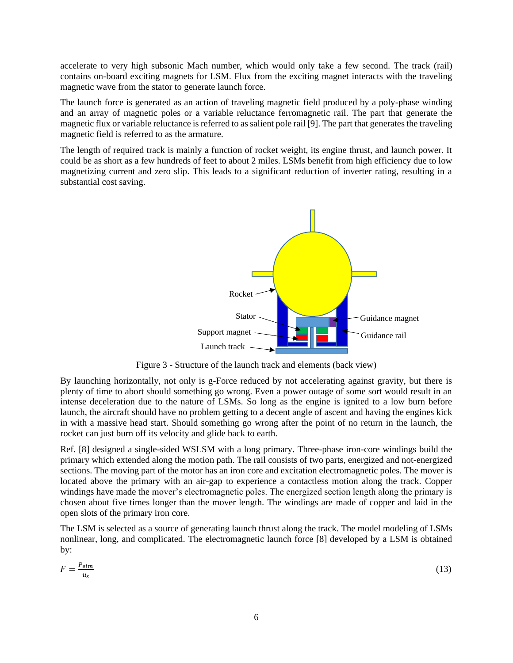accelerate to very high subsonic Mach number, which would only take a few second. The track (rail) contains on-board exciting magnets for LSM. Flux from the exciting magnet interacts with the traveling magnetic wave from the stator to generate launch force.

The launch force is generated as an action of traveling magnetic field produced by a poly-phase winding and an array of magnetic poles or a variable reluctance ferromagnetic rail. The part that generate the magnetic flux or variable reluctance is referred to as salient pole rail [9]. The part that generates the traveling magnetic field is referred to as the armature.

The length of required track is mainly a function of rocket weight, its engine thrust, and launch power. It could be as short as a few hundreds of feet to about 2 miles. LSMs benefit from high efficiency due to low magnetizing current and zero slip. This leads to a significant reduction of inverter rating, resulting in a substantial cost saving.



Figure 3 - Structure of the launch track and elements (back view)

By launching horizontally, not only is g-Force reduced by not accelerating against gravity, but there is plenty of time to abort should something go wrong. Even a power outage of some sort would result in an intense deceleration due to the nature of LSMs. So long as the engine is ignited to a low burn before launch, the aircraft should have no problem getting to a decent angle of ascent and having the engines kick in with a massive head start. Should something go wrong after the point of no return in the launch, the rocket can just burn off its velocity and glide back to earth.

Ref. [8] designed a single-sided WSLSM with a long primary. Three-phase iron-core windings build the primary which extended along the motion path. The rail consists of two parts, energized and not-energized sections. The moving part of the motor has an iron core and excitation electromagnetic poles. The mover is located above the primary with an air-gap to experience a contactless motion along the track. Copper windings have made the mover's electromagnetic poles. The energized section length along the primary is chosen about five times longer than the mover length. The windings are made of copper and laid in the open slots of the primary iron core.

The LSM is selected as a source of generating launch thrust along the track. The model modeling of LSMs nonlinear, long, and complicated. The electromagnetic launch force [8] developed by a LSM is obtained by:

$$
F = \frac{P_{elm}}{u_s} \tag{13}
$$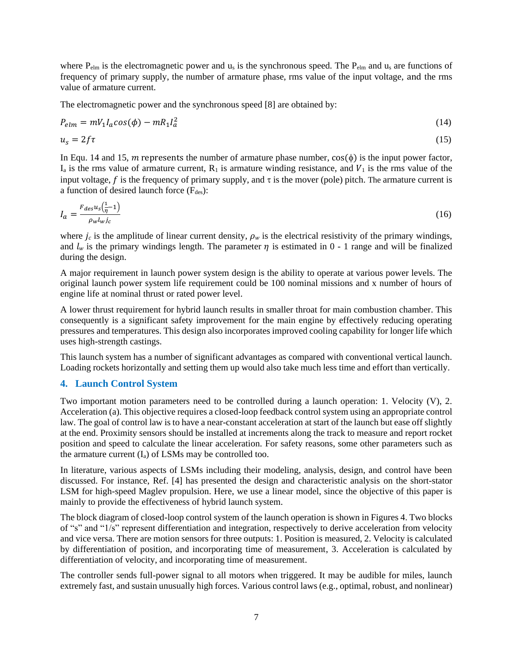where  $P_{elm}$  is the electromagnetic power and  $u_s$  is the synchronous speed. The  $P_{elm}$  and  $u_s$  are functions of frequency of primary supply, the number of armature phase, rms value of the input voltage, and the rms value of armature current.

The electromagnetic power and the synchronous speed [8] are obtained by:

$$
P_{elm} = mV_1I_a \cos(\phi) - mR_1I_a^2 \tag{14}
$$

$$
u_s = 2f\tau \tag{15}
$$

In Equ. 14 and 15, m represents the number of armature phase number,  $cos(\phi)$  is the input power factor,  $I_a$  is the rms value of armature current,  $R_1$  is armature winding resistance, and  $V_1$  is the rms value of the input voltage, f is the frequency of primary supply, and  $\tau$  is the mover (pole) pitch. The armature current is a function of desired launch force  $(F_{des})$ :

$$
I_a = \frac{F_{des}u_s(\frac{1}{\eta} - 1)}{\rho_w l_w i_c} \tag{16}
$$

where  $j_c$  is the amplitude of linear current density,  $\rho_w$  is the electrical resistivity of the primary windings, and  $l_w$  is the primary windings length. The parameter  $\eta$  is estimated in 0 - 1 range and will be finalized during the design.

A major requirement in launch power system design is the ability to operate at various power levels. The original launch power system life requirement could be 100 nominal missions and x number of hours of engine life at nominal thrust or rated power level.

A lower thrust requirement for hybrid launch results in smaller throat for main combustion chamber. This consequently is a significant safety improvement for the main engine by effectively reducing operating pressures and temperatures. This design also incorporates improved cooling capability for longer life which uses high-strength castings.

This launch system has a number of significant advantages as compared with conventional vertical launch. Loading rockets horizontally and setting them up would also take much less time and effort than vertically.

## **4. Launch Control System**

Two important motion parameters need to be controlled during a launch operation: 1. Velocity (V), 2. Acceleration (a). This objective requires a closed-loop feedback control system using an appropriate control law. The goal of control law is to have a near-constant acceleration at start of the launch but ease off slightly at the end. Proximity sensors should be installed at increments along the track to measure and report rocket position and speed to calculate the linear acceleration. For safety reasons, some other parameters such as the armature current  $(I_a)$  of LSMs may be controlled too.

In literature, various aspects of LSMs including their modeling, analysis, design, and control have been discussed. For instance, Ref. [4] has presented the design and characteristic analysis on the short-stator LSM for high-speed Maglev propulsion. Here, we use a linear model, since the objective of this paper is mainly to provide the effectiveness of hybrid launch system.

The block diagram of closed-loop control system of the launch operation is shown in Figures 4. Two blocks of "s" and "1/s" represent differentiation and integration, respectively to derive acceleration from velocity and vice versa. There are motion sensors for three outputs: 1. Position is measured, 2. Velocity is calculated by differentiation of position, and incorporating time of measurement, 3. Acceleration is calculated by differentiation of velocity, and incorporating time of measurement.

The controller sends full-power signal to all motors when triggered. It may be audible for miles, launch extremely fast, and sustain unusually high forces. Various control laws (e.g., optimal, robust, and nonlinear)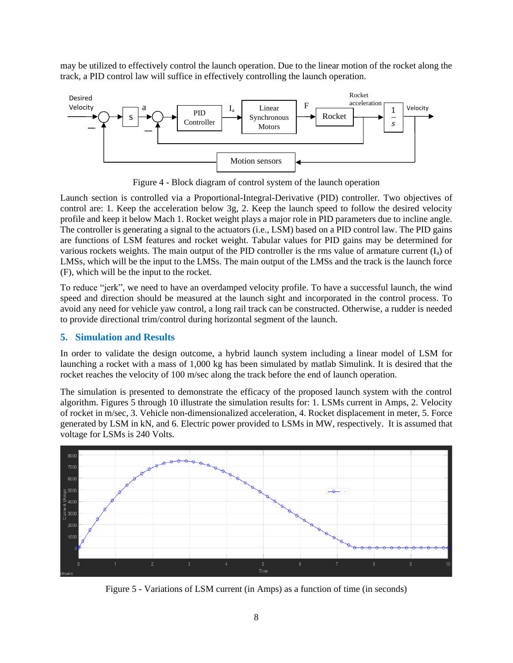may be utilized to effectively control the launch operation. Due to the linear motion of the rocket along the track, a PID control law will suffice in effectively controlling the launch operation.



Figure 4 - Block diagram of control system of the launch operation

Launch section is controlled via a Proportional-Integral-Derivative (PID) controller. Two objectives of control are: 1. Keep the acceleration below 3g, 2. Keep the launch speed to follow the desired velocity profile and keep it below Mach 1. Rocket weight plays a major role in PID parameters due to incline angle. The controller is generating a signal to the actuators (i.e., LSM) based on a PID control law. The PID gains are functions of LSM features and rocket weight. Tabular values for PID gains may be determined for various rockets weights. The main output of the PID controller is the rms value of armature current  $(I<sub>a</sub>)$  of LMSs, which will be the input to the LMSs. The main output of the LMSs and the track is the launch force (F), which will be the input to the rocket.

To reduce "jerk", we need to have an overdamped velocity profile. To have a successful launch, the wind speed and direction should be measured at the launch sight and incorporated in the control process. To avoid any need for vehicle yaw control, a long rail track can be constructed. Otherwise, a rudder is needed to provide directional trim/control during horizontal segment of the launch.

# **5. Simulation and Results**

In order to validate the design outcome, a hybrid launch system including a linear model of LSM for launching a rocket with a mass of 1,000 kg has been simulated by matlab Simulink. It is desired that the rocket reaches the velocity of 100 m/sec along the track before the end of launch operation.

The simulation is presented to demonstrate the efficacy of the proposed launch system with the control algorithm. Figures 5 through 10 illustrate the simulation results for: 1. LSMs current in Amps, 2. Velocity of rocket in m/sec, 3. Vehicle non-dimensionalized acceleration, 4. Rocket displacement in meter, 5. Force generated by LSM in kN, and 6. Electric power provided to LSMs in MW, respectively. It is assumed that voltage for LSMs is 240 Volts.



Figure 5 - Variations of LSM current (in Amps) as a function of time (in seconds)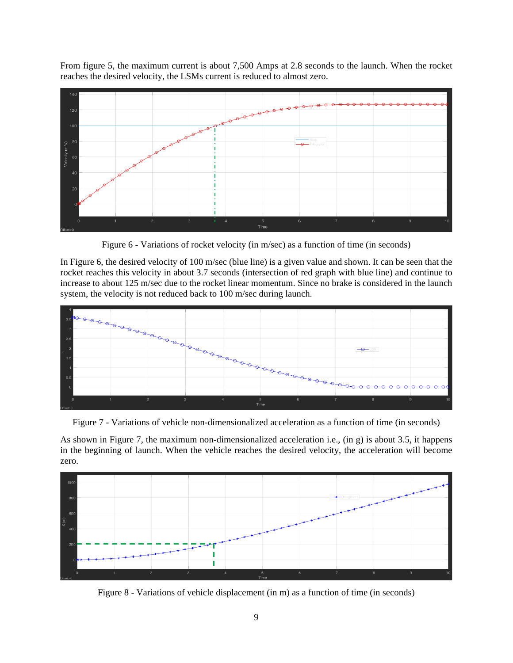From figure 5, the maximum current is about 7,500 Amps at 2.8 seconds to the launch. When the rocket reaches the desired velocity, the LSMs current is reduced to almost zero.



Figure 6 - Variations of rocket velocity (in m/sec) as a function of time (in seconds)

In Figure 6, the desired velocity of 100 m/sec (blue line) is a given value and shown. It can be seen that the rocket reaches this velocity in about 3.7 seconds (intersection of red graph with blue line) and continue to increase to about 125 m/sec due to the rocket linear momentum. Since no brake is considered in the launch system, the velocity is not reduced back to 100 m/sec during launch.



Figure 7 - Variations of vehicle non-dimensionalized acceleration as a function of time (in seconds)

As shown in Figure 7, the maximum non-dimensionalized acceleration i.e., (in g) is about 3.5, it happens in the beginning of launch. When the vehicle reaches the desired velocity, the acceleration will become zero.



Figure 8 - Variations of vehicle displacement (in m) as a function of time (in seconds)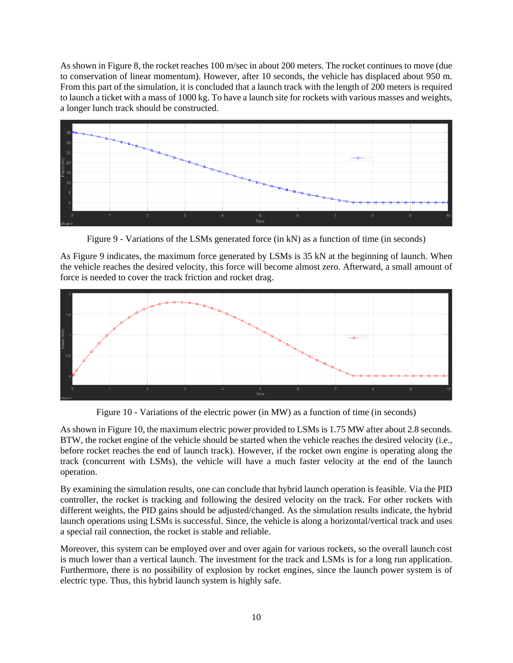As shown in Figure 8, the rocket reaches 100 m/sec in about 200 meters. The rocket continues to move (due to conservation of linear momentum). However, after 10 seconds, the vehicle has displaced about 950 m. From this part of the simulation, it is concluded that a launch track with the length of 200 meters is required to launch a ticket with a mass of 1000 kg. To have a launch site for rockets with various masses and weights, a longer lunch track should be constructed.



Figure 9 - Variations of the LSMs generated force (in kN) as a function of time (in seconds)

As Figure 9 indicates, the maximum force generated by LSMs is 35 kN at the beginning of launch. When the vehicle reaches the desired velocity, this force will become almost zero. Afterward, a small amount of force is needed to cover the track friction and rocket drag.



Figure 10 - Variations of the electric power (in MW) as a function of time (in seconds)

As shown in Figure 10, the maximum electric power provided to LSMs is 1.75 MW after about 2.8 seconds. BTW, the rocket engine of the vehicle should be started when the vehicle reaches the desired velocity (i.e., before rocket reaches the end of launch track). However, if the rocket own engine is operating along the track (concurrent with LSMs), the vehicle will have a much faster velocity at the end of the launch operation.

By examining the simulation results, one can conclude that hybrid launch operation is feasible. Via the PID controller, the rocket is tracking and following the desired velocity on the track. For other rockets with different weights, the PID gains should be adjusted/changed. As the simulation results indicate, the hybrid launch operations using LSMs is successful. Since, the vehicle is along a horizontal/vertical track and uses a special rail connection, the rocket is stable and reliable.

Moreover, this system can be employed over and over again for various rockets, so the overall launch cost is much lower than a vertical launch. The investment for the track and LSMs is for a long run application. Furthermore, there is no possibility of explosion by rocket engines, since the launch power system is of electric type. Thus, this hybrid launch system is highly safe.